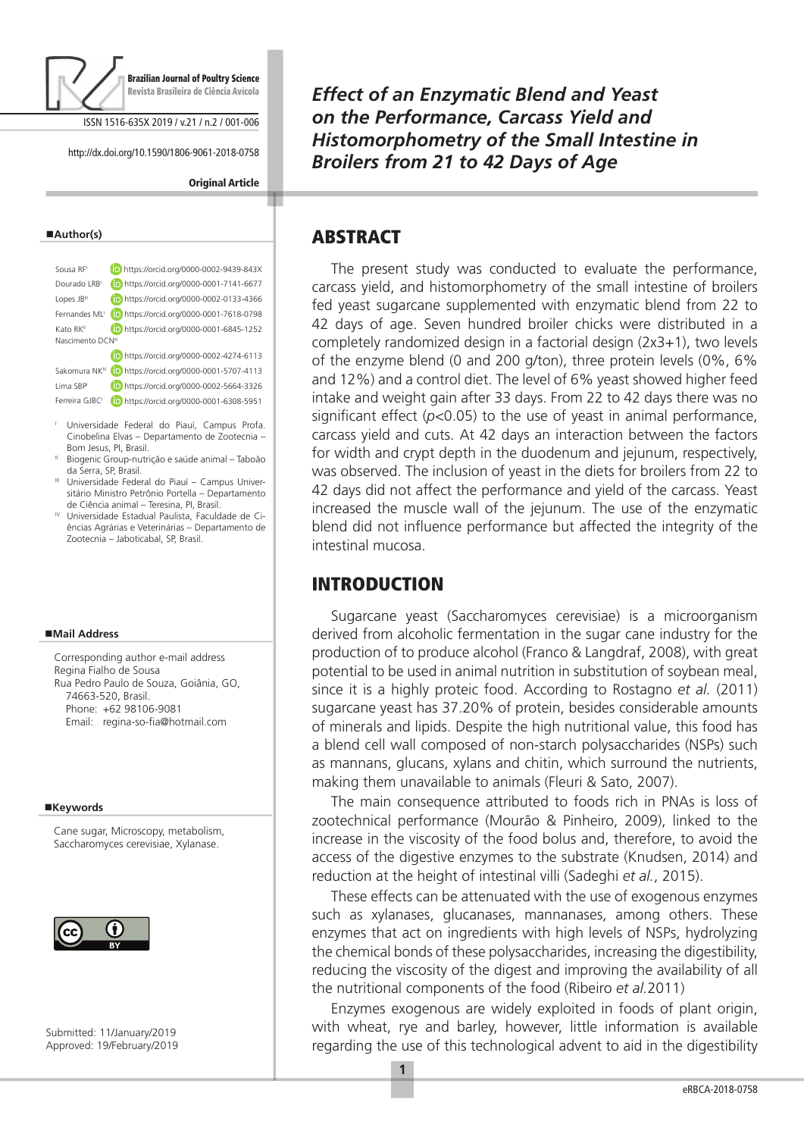

ISSN 1516-635X 2019 / v.21 / n.2 / 001-006

http://dx.doi.org/10.1590/1806-9061-2018-0758

#### **Original Article**

#### **Author(s)**

| Sousa RF                     | https://orcid.org/0000-0002-9439-843X |
|------------------------------|---------------------------------------|
| Dourado LRB                  | https://orcid.org/0000-0001-7141-6677 |
| Lopes JB <sup>III</sup>      | https://orcid.org/0000-0002-0133-4366 |
| Fernandes MI <sup>1</sup>    | https://orcid.org/0000-0001-7618-0798 |
| Kato RK <sup>II</sup>        | https://orcid.org/0000-0001-6845-1252 |
| Nascimento DCN <sup>II</sup> |                                       |
|                              | https://orcid.org/0000-0002-4274-6113 |
| Sakomura NK <sup>IV</sup>    | https://orcid.org/0000-0001-5707-4113 |
| Lima SBP                     | https://orcid.org/0000-0002-5664-3326 |
| Ferreira GJBC                | https://orcid.org/0000-0001-6308-5951 |
|                              |                                       |

- <sup>I</sup> Universidade Federal do Piauí, Campus Profa. Cinobelina Elvas – Departamento de Zootecnia – Bom Jesus, PI, Brasil.
- II Biogenic Group-nutrição e saúde animal Taboão da Serra, SP, Brasil.
- III Universidade Federal do Piauí Campus Universitário Ministro Petrônio Portella – Departamento de Ciência animal – Teresina, PI, Brasil.
- IV Universidade Estadual Paulista, Faculdade de Ciências Agrárias e Veterinárias – Departamento de Zootecnia – Jaboticabal, SP, Brasil.

#### **Mail Address**

Corresponding author e-mail address Regina Fialho de Sousa Rua Pedro Paulo de Souza, Goiânia, GO, 74663-520, Brasil. Phone: +62 98106-9081 Email: regina-so-fia@hotmail.com

#### **Keywords**

Cane sugar, Microscopy, metabolism, Saccharomyces cerevisiae, Xylanase.



Submitted: 11/January/2019 Approved: 19/February/2019 *Effect of an Enzymatic Blend and Yeast on the Performance, Carcass Yield and Histomorphometry of the Small Intestine in Broilers from 21 to 42 Days of Age*

# ABSTRACT

The present study was conducted to evaluate the performance, carcass yield, and histomorphometry of the small intestine of broilers fed yeast sugarcane supplemented with enzymatic blend from 22 to 42 days of age. Seven hundred broiler chicks were distributed in a completely randomized design in a factorial design (2x3+1), two levels of the enzyme blend (0 and 200 g/ton), three protein levels (0%, 6% and 12%) and a control diet. The level of 6% yeast showed higher feed intake and weight gain after 33 days. From 22 to 42 days there was no significant effect (*p<*0.05) to the use of yeast in animal performance, carcass yield and cuts. At 42 days an interaction between the factors for width and crypt depth in the duodenum and jejunum, respectively, was observed. The inclusion of yeast in the diets for broilers from 22 to 42 days did not affect the performance and yield of the carcass. Yeast increased the muscle wall of the jejunum. The use of the enzymatic blend did not influence performance but affected the integrity of the intestinal mucosa.

# INTRODUCTION

Sugarcane yeast (Saccharomyces cerevisiae) is a microorganism derived from alcoholic fermentation in the sugar cane industry for the production of to produce alcohol (Franco & Langdraf, 2008), with great potential to be used in animal nutrition in substitution of soybean meal, since it is a highly proteic food. According to Rostagno *et al.* (2011) sugarcane yeast has 37.20% of protein, besides considerable amounts of minerals and lipids. Despite the high nutritional value, this food has a blend cell wall composed of non-starch polysaccharides (NSPs) such as mannans, glucans, xylans and chitin, which surround the nutrients, making them unavailable to animals (Fleuri & Sato, 2007).

The main consequence attributed to foods rich in PNAs is loss of zootechnical performance (Mourão & Pinheiro, 2009), linked to the increase in the viscosity of the food bolus and, therefore, to avoid the access of the digestive enzymes to the substrate (Knudsen, 2014) and reduction at the height of intestinal villi (Sadeghi *et al.*, 2015).

These effects can be attenuated with the use of exogenous enzymes such as xylanases, glucanases, mannanases, among others. These enzymes that act on ingredients with high levels of NSPs, hydrolyzing the chemical bonds of these polysaccharides, increasing the digestibility, reducing the viscosity of the digest and improving the availability of all the nutritional components of the food (Ribeiro *et al.*2011)

Enzymes exogenous are widely exploited in foods of plant origin, with wheat, rye and barley, however, little information is available regarding the use of this technological advent to aid in the digestibility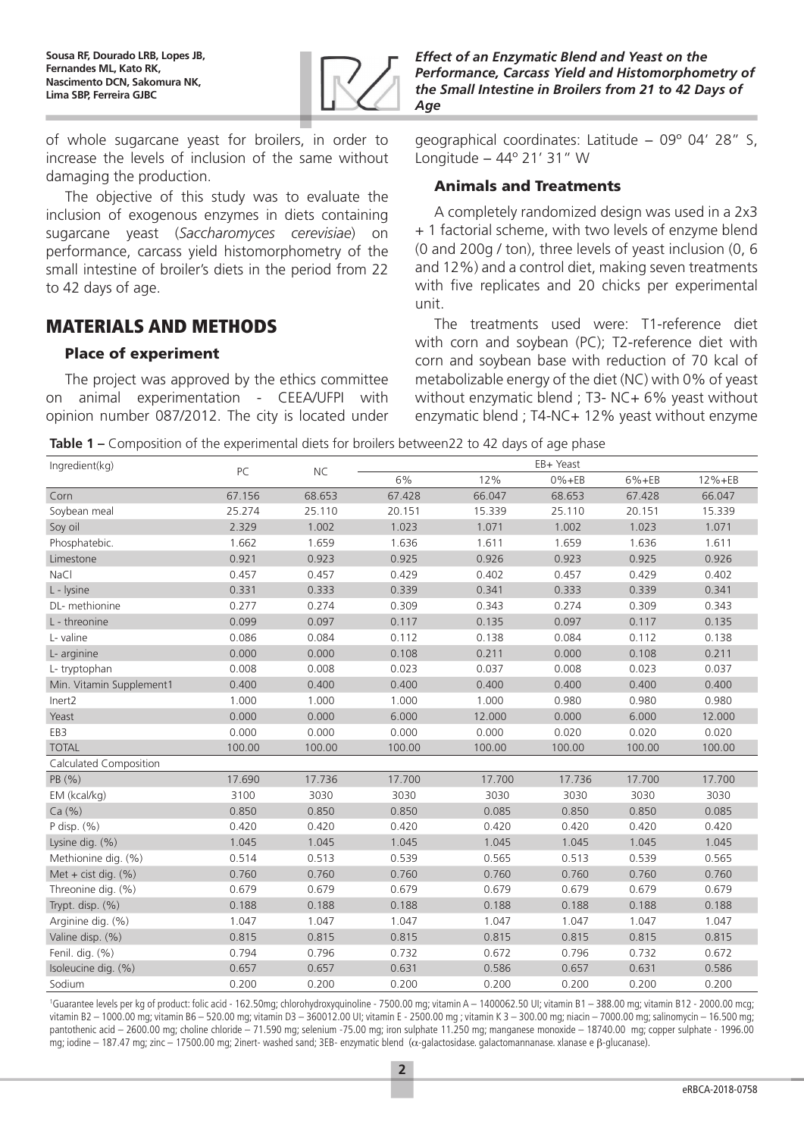

of whole sugarcane yeast for broilers, in order to increase the levels of inclusion of the same without damaging the production.

The objective of this study was to evaluate the inclusion of exogenous enzymes in diets containing sugarcane yeast (*Saccharomyces cerevisiae*) on performance, carcass yield histomorphometry of the small intestine of broiler's diets in the period from 22 to 42 days of age.

# MATERIALS AND METHODS

### Place of experiment

The project was approved by the ethics committee on animal experimentation - CEEA/UFPI with opinion number 087/2012. The city is located under *Effect of an Enzymatic Blend and Yeast on the Performance, Carcass Yield and Histomorphometry of the Small Intestine in Broilers from 21 to 42 Days of Age*

geographical coordinates: Latitude − 09º 04' 28" S, Longitude − 44º 21' 31" W

### Animals and Treatments

A completely randomized design was used in a 2x3 + 1 factorial scheme, with two levels of enzyme blend (0 and 200g / ton), three levels of yeast inclusion (0, 6 and 12%) and a control diet, making seven treatments with five replicates and 20 chicks per experimental unit.

The treatments used were: T1-reference diet with corn and soybean (PC); T2-reference diet with corn and soybean base with reduction of 70 kcal of metabolizable energy of the diet (NC) with 0% of yeast without enzymatic blend ; T3- NC+ 6% yeast without enzymatic blend ; T4-NC+ 12% yeast without enzyme

**Table 1 –** Composition of the experimental diets for broilers between22 to 42 days of age phase

| Ingredient(kg)           | PC     | <b>NC</b> | EB+ Yeast |        |            |           |        |  |  |  |
|--------------------------|--------|-----------|-----------|--------|------------|-----------|--------|--|--|--|
|                          |        |           | 6%        | 12%    | $0\% + EB$ | $6% + EB$ | 12%+EB |  |  |  |
| Corn                     | 67.156 | 68.653    | 67.428    | 66.047 | 68.653     | 67.428    | 66.047 |  |  |  |
| Soybean meal             | 25.274 | 25.110    | 20.151    | 15.339 | 25.110     | 20.151    | 15.339 |  |  |  |
| Soy oil                  | 2.329  | 1.002     | 1.023     | 1.071  | 1.002      | 1.023     | 1.071  |  |  |  |
| Phosphatebic.            | 1.662  | 1.659     | 1.636     | 1.611  | 1.659      | 1.636     | 1.611  |  |  |  |
| Limestone                | 0.921  | 0.923     | 0.925     | 0.926  | 0.923      | 0.925     | 0.926  |  |  |  |
| NaCl                     | 0.457  | 0.457     | 0.429     | 0.402  | 0.457      | 0.429     | 0.402  |  |  |  |
| L - lysine               | 0.331  | 0.333     | 0.339     | 0.341  | 0.333      | 0.339     | 0.341  |  |  |  |
| DL- methionine           | 0.277  | 0.274     | 0.309     | 0.343  | 0.274      | 0.309     | 0.343  |  |  |  |
| L - threonine            | 0.099  | 0.097     | 0.117     | 0.135  | 0.097      | 0.117     | 0.135  |  |  |  |
| L- valine                | 0.086  | 0.084     | 0.112     | 0.138  | 0.084      | 0.112     | 0.138  |  |  |  |
| L- arginine              | 0.000  | 0.000     | 0.108     | 0.211  | 0.000      | 0.108     | 0.211  |  |  |  |
| L-tryptophan             | 0.008  | 0.008     | 0.023     | 0.037  | 0.008      | 0.023     | 0.037  |  |  |  |
| Min. Vitamin Supplement1 | 0.400  | 0.400     | 0.400     | 0.400  | 0.400      | 0.400     | 0.400  |  |  |  |
| Inert2                   | 1.000  | 1.000     | 1.000     | 1.000  | 0.980      | 0.980     | 0.980  |  |  |  |
| Yeast                    | 0.000  | 0.000     | 6.000     | 12.000 | 0.000      | 6.000     | 12.000 |  |  |  |
| EB3                      | 0.000  | 0.000     | 0.000     | 0.000  | 0.020      | 0.020     | 0.020  |  |  |  |
| <b>TOTAL</b>             | 100.00 | 100.00    | 100.00    | 100.00 | 100.00     | 100.00    | 100.00 |  |  |  |
| Calculated Composition   |        |           |           |        |            |           |        |  |  |  |
| PB (%)                   | 17.690 | 17.736    | 17.700    | 17.700 | 17.736     | 17.700    | 17.700 |  |  |  |
| EM (kcal/kg)             | 3100   | 3030      | 3030      | 3030   | 3030       | 3030      | 3030   |  |  |  |
| Ca(%)                    | 0.850  | 0.850     | 0.850     | 0.085  | 0.850      | 0.850     | 0.085  |  |  |  |
| P disp. (%)              | 0.420  | 0.420     | 0.420     | 0.420  | 0.420      | 0.420     | 0.420  |  |  |  |
| Lysine dig. (%)          | 1.045  | 1.045     | 1.045     | 1.045  | 1.045      | 1.045     | 1.045  |  |  |  |
| Methionine dig. (%)      | 0.514  | 0.513     | 0.539     | 0.565  | 0.513      | 0.539     | 0.565  |  |  |  |
| Met + cist dig. $(\%)$   | 0.760  | 0.760     | 0.760     | 0.760  | 0.760      | 0.760     | 0.760  |  |  |  |
| Threonine dig. (%)       | 0.679  | 0.679     | 0.679     | 0.679  | 0.679      | 0.679     | 0.679  |  |  |  |
| Trypt. disp. (%)         | 0.188  | 0.188     | 0.188     | 0.188  | 0.188      | 0.188     | 0.188  |  |  |  |
| Arginine dig. (%)        | 1.047  | 1.047     | 1.047     | 1.047  | 1.047      | 1.047     | 1.047  |  |  |  |
| Valine disp. (%)         | 0.815  | 0.815     | 0.815     | 0.815  | 0.815      | 0.815     | 0.815  |  |  |  |
| Fenil. dig. (%)          | 0.794  | 0.796     | 0.732     | 0.672  | 0.796      | 0.732     | 0.672  |  |  |  |
| Isoleucine dig. (%)      | 0.657  | 0.657     | 0.631     | 0.586  | 0.657      | 0.631     | 0.586  |  |  |  |
| Sodium                   | 0.200  | 0.200     | 0.200     | 0.200  | 0.200      | 0.200     | 0.200  |  |  |  |

<sup>1</sup>Guarantee levels per kg of product: folic acid - 162.50mg; chlorohydroxyquinoline - 7500.00 mg; vitamin A – 1400062.50 UI; vitamin B1 – 388.00 mg; vitamin B12 - 2000.00 mcg; vitamin B2 – 1000.00 mg; vitamin B6 – 520.00 mg; vitamin D3 – 360012.00 UI; vitamin E - 2500.00 mg ; vitamin K 3 – 300.00 mg; niacin – 7000.00 mg; salinomycin – 16.500 mg; pantothenic acid – 2600.00 mg; choline chloride – 71.590 mg; selenium -75.00 mg; iron sulphate 11.250 mg; manganese monoxide – 18740.00 mg; copper sulphate - 1996.00 mg; iodine – 187.47 mg; zinc – 17500.00 mg; 2inert- washed sand; 3EB- enzymatic blend (α-galactosidase. galactomannanase. xlanase e β-glucanase).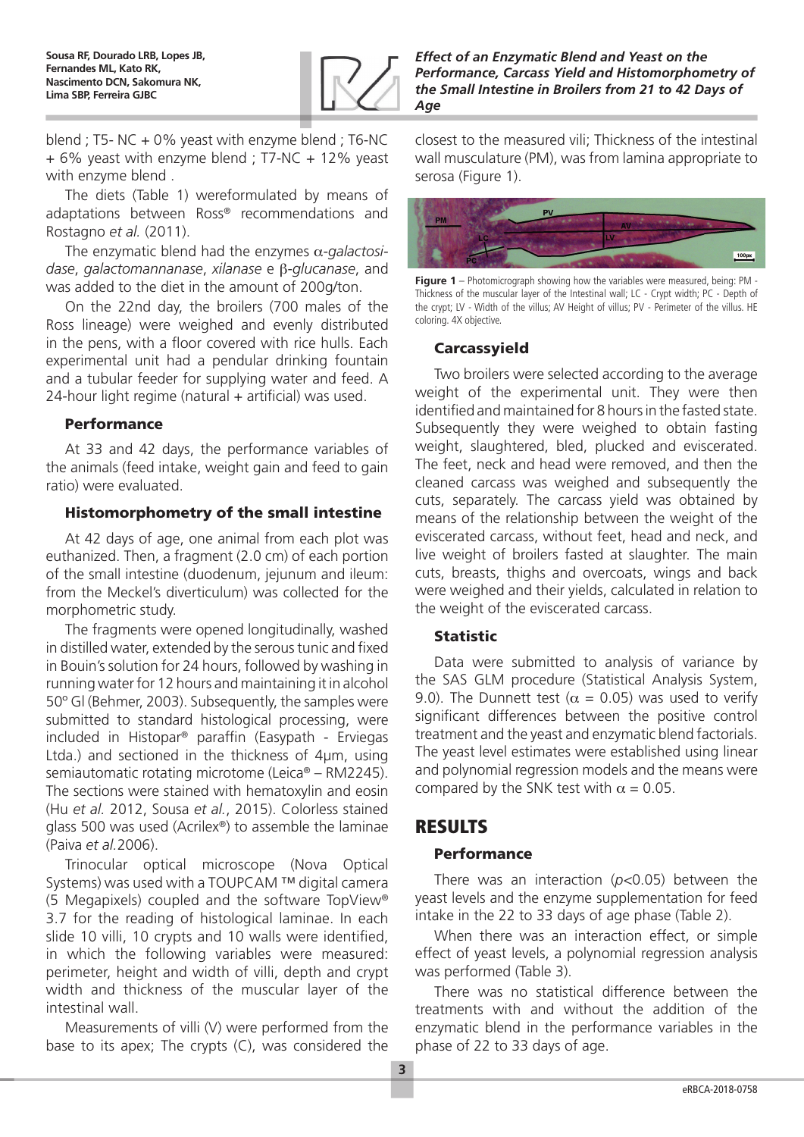

blend ; T5- NC + 0% yeast with enzyme blend ; T6-NC + 6% yeast with enzyme blend ; T7-NC + 12% yeast with enzyme blend .

The diets (Table 1) wereformulated by means of adaptations between Ross® recommendations and Rostagno *et al.* (2011).

The enzymatic blend had the enzymes α-*galactosidase*, *galactomannanase*, *xilanase* e β-*glucanase*, and was added to the diet in the amount of 200g/ton.

On the 22nd day, the broilers (700 males of the Ross lineage) were weighed and evenly distributed in the pens, with a floor covered with rice hulls. Each experimental unit had a pendular drinking fountain and a tubular feeder for supplying water and feed. A  $24$ -hour light regime (natural  $+$  artificial) was used.

# Performance

At 33 and 42 days, the performance variables of the animals (feed intake, weight gain and feed to gain ratio) were evaluated.

# Histomorphometry of the small intestine

At 42 days of age, one animal from each plot was euthanized. Then, a fragment (2.0 cm) of each portion of the small intestine (duodenum, jejunum and ileum: from the Meckel's diverticulum) was collected for the morphometric study.

The fragments were opened longitudinally, washed in distilled water, extended by the serous tunic and fixed in Bouin's solution for 24 hours, followed by washing in running water for 12 hours and maintaining it in alcohol 50º Gl (Behmer, 2003). Subsequently, the samples were submitted to standard histological processing, were included in Histopar® paraffin (Easypath - Erviegas Ltda.) and sectioned in the thickness of 4μm, using semiautomatic rotating microtome (Leica® – RM2245). The sections were stained with hematoxylin and eosin (Hu *et al.* 2012, Sousa *et al.*, 2015). Colorless stained glass 500 was used (Acrilex®) to assemble the laminae (Paiva *et al.*2006).

Trinocular optical microscope (Nova Optical Systems) was used with a TOUPCAM ™ digital camera (5 Megapixels) coupled and the software TopView® 3.7 for the reading of histological laminae. In each slide 10 villi, 10 crypts and 10 walls were identified, in which the following variables were measured: perimeter, height and width of villi, depth and crypt width and thickness of the muscular layer of the intestinal wall.

Measurements of villi (V) were performed from the base to its apex; The crypts (C), was considered the closest to the measured vili; Thickness of the intestinal wall musculature (PM), was from lamina appropriate to serosa (Figure 1).



**Figure 1** – Photomicrograph showing how the variables were measured, being: PM - Thickness of the muscular layer of the Intestinal wall; LC - Crypt width; PC - Depth of the crypt; LV - Width of the villus; AV Height of villus; PV - Perimeter of the villus. HE coloring. 4X objective.

# Carcassyield

Two broilers were selected according to the average weight of the experimental unit. They were then identified and maintained for 8 hours in the fasted state. Subsequently they were weighed to obtain fasting weight, slaughtered, bled, plucked and eviscerated. The feet, neck and head were removed, and then the cleaned carcass was weighed and subsequently the cuts, separately. The carcass yield was obtained by means of the relationship between the weight of the eviscerated carcass, without feet, head and neck, and live weight of broilers fasted at slaughter. The main cuts, breasts, thighs and overcoats, wings and back were weighed and their yields, calculated in relation to the weight of the eviscerated carcass.

# Statistic

Data were submitted to analysis of variance by the SAS GLM procedure (Statistical Analysis System, 9.0). The Dunnett test ( $\alpha$  = 0.05) was used to verify significant differences between the positive control treatment and the yeast and enzymatic blend factorials. The yeast level estimates were established using linear and polynomial regression models and the means were compared by the SNK test with  $\alpha = 0.05$ .

# RESULTS

# Performance

There was an interaction (*p<*0.05) between the yeast levels and the enzyme supplementation for feed intake in the 22 to 33 days of age phase (Table 2).

When there was an interaction effect, or simple effect of yeast levels, a polynomial regression analysis was performed (Table 3).

There was no statistical difference between the treatments with and without the addition of the enzymatic blend in the performance variables in the phase of 22 to 33 days of age.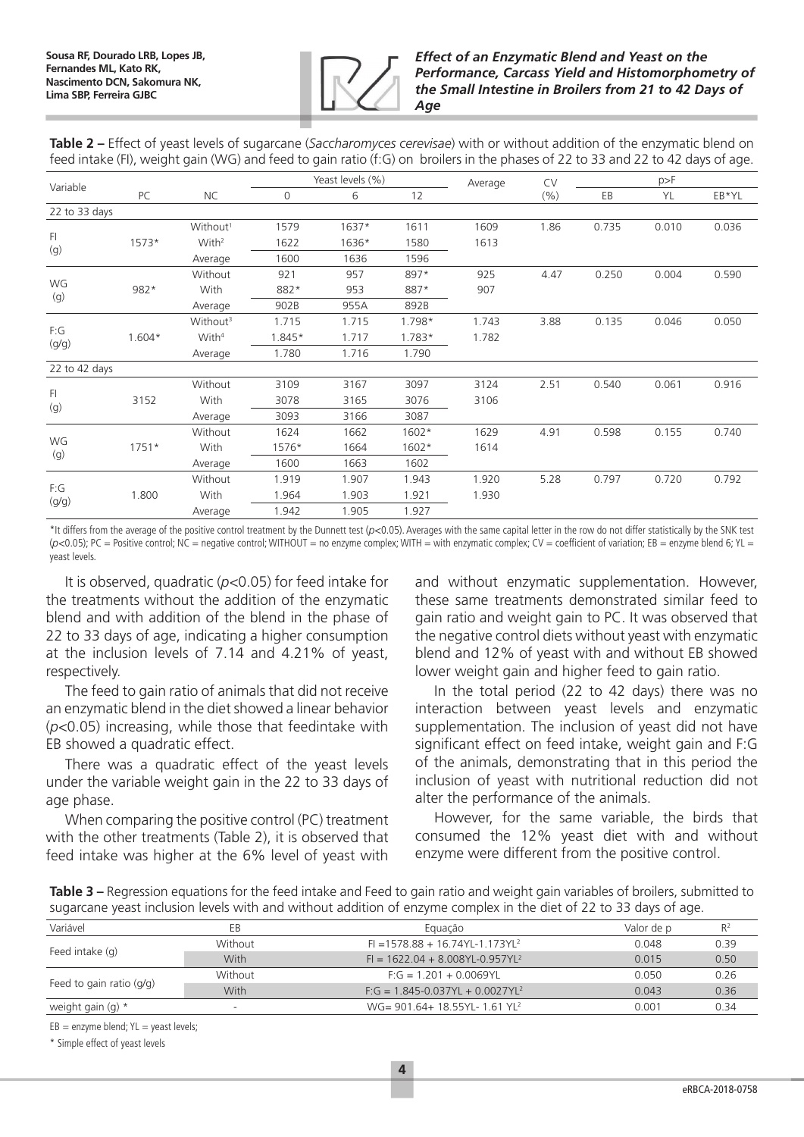

### *Effect of an Enzymatic Blend and Yeast on the Performance, Carcass Yield and Histomorphometry of the Small Intestine in Broilers from 21 to 42 Days of Age*

**Table 2 –** Effect of yeast levels of sugarcane (*Saccharomyces cerevisae*) with or without addition of the enzymatic blend on feed intake (FI), weight gain (WG) and feed to gain ratio (f:G) on broilers in the phases of 22 to 33 and 22 to 42 days of age.

|               |          |                      |          | Yeast levels (%) |          | Average | CV   | p>F   |       |       |
|---------------|----------|----------------------|----------|------------------|----------|---------|------|-------|-------|-------|
| Variable      | PC       | <b>NC</b>            | $\Omega$ | 6                | 12       |         | (%)  | EB    | YL    | EB*YL |
| 22 to 33 days |          |                      |          |                  |          |         |      |       |       |       |
|               |          | Without <sup>1</sup> | 1579     | $1637*$          | 1611     | 1609    | 1.86 | 0.735 | 0.010 | 0.036 |
| F1<br>(g)     | $1573*$  | With <sup>2</sup>    | 1622     | 1636*            | 1580     | 1613    |      |       |       |       |
|               |          | Average              | 1600     | 1636             | 1596     |         |      |       |       |       |
|               |          | Without              | 921      | 957              | 897*     | 925     | 4.47 | 0.250 | 0.004 | 0.590 |
| WG<br>(g)     | 982*     | With                 | 882*     | 953              | 887*     | 907     |      |       |       |       |
|               |          | Average              | 902B     | 955A             | 892B     |         |      |       |       |       |
|               |          | Without <sup>3</sup> | 1.715    | 1.715            | 1.798*   | 1.743   | 3.88 | 0.135 | 0.046 | 0.050 |
| F:G<br>(g/g)  | $1.604*$ | With <sup>4</sup>    | 1.845*   | 1.717            | $1.783*$ | 1.782   |      |       |       |       |
|               |          | Average              | 1.780    | 1.716            | 1.790    |         |      |       |       |       |
| 22 to 42 days |          |                      |          |                  |          |         |      |       |       |       |
|               |          | Without              | 3109     | 3167             | 3097     | 3124    | 2.51 | 0.540 | 0.061 | 0.916 |
| FI.<br>(g)    | 3152     | With                 | 3078     | 3165             | 3076     | 3106    |      |       |       |       |
|               |          | Average              | 3093     | 3166             | 3087     |         |      |       |       |       |
|               |          | Without              | 1624     | 1662             | 1602*    | 1629    | 4.91 | 0.598 | 0.155 | 0.740 |
| WG<br>(g)     | $1751*$  | With                 | 1576*    | 1664             | 1602*    | 1614    |      |       |       |       |
|               |          | Average              | 1600     | 1663             | 1602     |         |      |       |       |       |
|               |          | Without              | 1.919    | 1.907            | 1.943    | 1.920   | 5.28 | 0.797 | 0.720 | 0.792 |
| F:G<br>(g/g)  | 1.800    | With                 | 1.964    | 1.903            | 1.921    | 1.930   |      |       |       |       |
|               |          | Average              | 1.942    | 1.905            | 1.927    |         |      |       |       |       |

\*It differs from the average of the positive control treatment by the Dunnett test (*p<*0.05). Averages with the same capital letter in the row do not differ statistically by the SNK test (*p<*0.05); PC = Positive control; NC = negative control; WITHOUT = no enzyme complex; WITH = with enzymatic complex; CV = coefficient of variation; EB = enzyme blend 6; YL = yeast levels.

It is observed, quadratic (*p<*0.05) for feed intake for the treatments without the addition of the enzymatic blend and with addition of the blend in the phase of 22 to 33 days of age, indicating a higher consumption at the inclusion levels of 7.14 and 4.21% of yeast, respectively.

The feed to gain ratio of animals that did not receive an enzymatic blend in the diet showed a linear behavior (*p<*0.05) increasing, while those that feedintake with EB showed a quadratic effect.

There was a quadratic effect of the yeast levels under the variable weight gain in the 22 to 33 days of age phase.

When comparing the positive control (PC) treatment with the other treatments (Table 2), it is observed that feed intake was higher at the 6% level of yeast with

and without enzymatic supplementation. However, these same treatments demonstrated similar feed to gain ratio and weight gain to PC. It was observed that the negative control diets without yeast with enzymatic blend and 12% of yeast with and without EB showed lower weight gain and higher feed to gain ratio.

In the total period (22 to 42 days) there was no interaction between yeast levels and enzymatic supplementation. The inclusion of yeast did not have significant effect on feed intake, weight gain and F:G of the animals, demonstrating that in this period the inclusion of yeast with nutritional reduction did not alter the performance of the animals.

However, for the same variable, the birds that consumed the 12% yeast diet with and without enzyme were different from the positive control.

| Table 3 - Regression equations for the feed intake and Feed to gain ratio and weight gain variables of broilers, submitted to |  |
|-------------------------------------------------------------------------------------------------------------------------------|--|
| sugarcane yeast inclusion levels with and without addition of enzyme complex in the diet of 22 to 33 days of age.             |  |

| Variável                   | EВ                       | Eguação                               | Valor de p | $R^2$ |
|----------------------------|--------------------------|---------------------------------------|------------|-------|
| Feed intake (g)            | Without                  | $F = 1578.88 + 16.74YL - 1.173YL2$    | 0.048      | 0.39  |
|                            | With                     | $Fl = 1622.04 + 8.008YL - 0.957YL^2$  | 0.015      | 0.50  |
|                            | Without                  | $F: G = 1.201 + 0.0069YL$             | O 050      | 0.26  |
| Feed to gain ratio $(q/q)$ | With                     | $F: G = 1.845 - 0.037YL + 0.0027YL^2$ | 0.043      | 0.36  |
| weight gain $(q)$ *        | $\overline{\phantom{0}}$ | $WG = 901.64 + 18.55YL - 1.61YL2$     | 0.001      | 0.34  |
|                            |                          |                                       |            |       |

 $EB =$  enzyme blend;  $YL =$  yeast levels;

\* Simple effect of yeast levels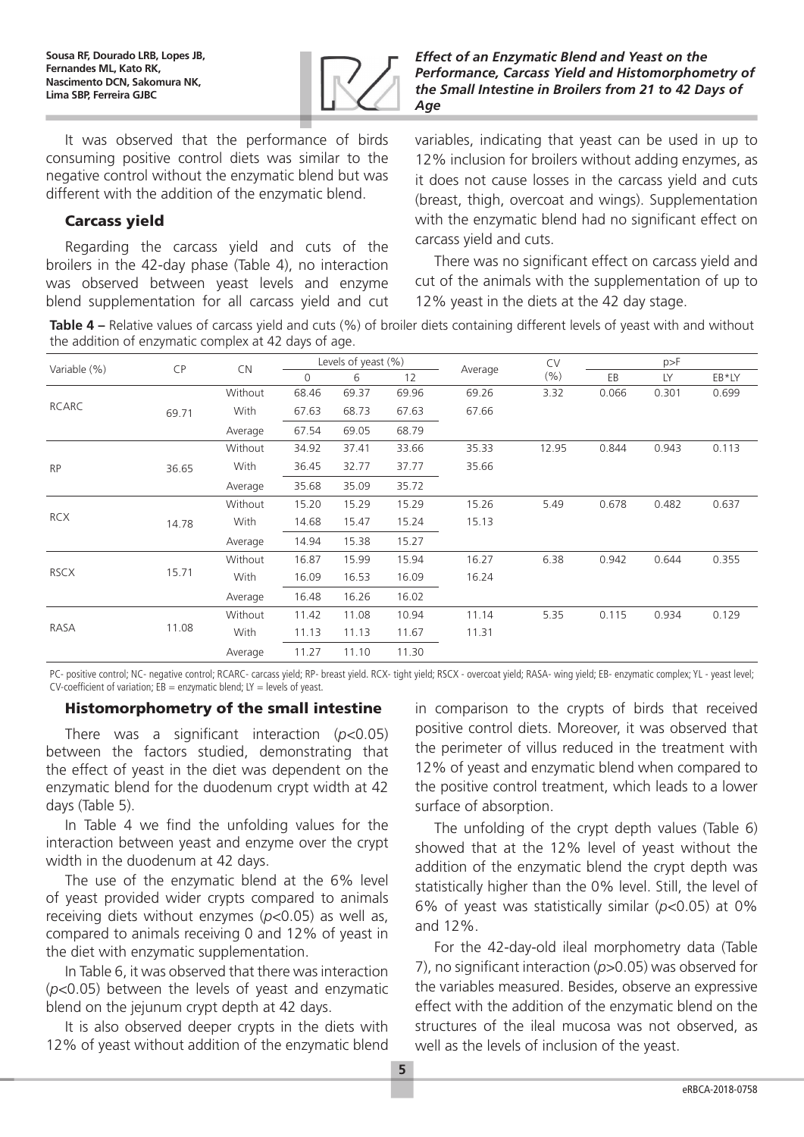

*Effect of an Enzymatic Blend and Yeast on the Performance, Carcass Yield and Histomorphometry of the Small Intestine in Broilers from 21 to 42 Days of Age*

It was observed that the performance of birds consuming positive control diets was similar to the negative control without the enzymatic blend but was different with the addition of the enzymatic blend.

# Carcass yield

Regarding the carcass yield and cuts of the broilers in the 42-day phase (Table 4), no interaction was observed between yeast levels and enzyme blend supplementation for all carcass yield and cut variables, indicating that yeast can be used in up to 12% inclusion for broilers without adding enzymes, as it does not cause losses in the carcass yield and cuts (breast, thigh, overcoat and wings). Supplementation with the enzymatic blend had no significant effect on carcass yield and cuts.

There was no significant effect on carcass yield and cut of the animals with the supplementation of up to 12% yeast in the diets at the 42 day stage.

**Table 4 –** Relative values of carcass yield and cuts (%) of broiler diets containing different levels of yeast with and without the addition of enzymatic complex at 42 days of age.

| Variable (%) | <b>CP</b> | <b>CN</b> | Levels of yeast $(\%)$ |       |       | <b>CV</b> | p>F   |       |       |       |
|--------------|-----------|-----------|------------------------|-------|-------|-----------|-------|-------|-------|-------|
|              |           |           | 0                      | 6     | 12    | Average   | (%)   | EB    | LY    | EB*LY |
|              |           | Without   | 68.46                  | 69.37 | 69.96 | 69.26     | 3.32  | 0.066 | 0.301 | 0.699 |
| RCARC        | 69.71     | With      | 67.63                  | 68.73 | 67.63 | 67.66     |       |       |       |       |
|              |           | Average   | 67.54                  | 69.05 | 68.79 |           |       |       |       |       |
|              |           | Without   | 34.92                  | 37.41 | 33.66 | 35.33     | 12.95 | 0.844 | 0.943 | 0.113 |
| <b>RP</b>    | 36.65     | With      | 36.45                  | 32.77 | 37.77 | 35.66     |       |       |       |       |
|              |           | Average   | 35.68                  | 35.09 | 35.72 |           |       |       |       |       |
|              |           | Without   | 15.20                  | 15.29 | 15.29 | 15.26     | 5.49  | 0.678 | 0.482 | 0.637 |
| <b>RCX</b>   | 14.78     | With      | 14.68                  | 15.47 | 15.24 | 15.13     |       |       |       |       |
|              |           | Average   | 14.94                  | 15.38 | 15.27 |           |       |       |       |       |
|              |           | Without   | 16.87                  | 15.99 | 15.94 | 16.27     | 6.38  | 0.942 | 0.644 | 0.355 |
| <b>RSCX</b>  | 15.71     | With      | 16.09                  | 16.53 | 16.09 | 16.24     |       |       |       |       |
|              |           | Average   | 16.48                  | 16.26 | 16.02 |           |       |       |       |       |
|              |           | Without   | 11.42                  | 11.08 | 10.94 | 11.14     | 5.35  | 0.115 | 0.934 | 0.129 |
| RASA         | 11.08     | With      | 11.13                  | 11.13 | 11.67 | 11.31     |       |       |       |       |
|              |           | Average   | 11.27                  | 11.10 | 11.30 |           |       |       |       |       |

PC- positive control; NC- negative control; RCARC- carcass yield; RP- breast yield. RCX- tight yield; RSCX - overcoat yield; RASA- wing yield; EB- enzymatic complex; YL - yeast level; CV-coefficient of variation:  $EB =$  enzymatic blend: LY = levels of yeast.

# Histomorphometry of the small intestine

There was a significant interaction (*p<*0.05) between the factors studied, demonstrating that the effect of yeast in the diet was dependent on the enzymatic blend for the duodenum crypt width at 42 days (Table 5).

In Table 4 we find the unfolding values for the interaction between yeast and enzyme over the crypt width in the duodenum at 42 days.

The use of the enzymatic blend at the 6% level of yeast provided wider crypts compared to animals receiving diets without enzymes (*p<*0.05) as well as, compared to animals receiving 0 and 12% of yeast in the diet with enzymatic supplementation.

In Table 6, it was observed that there was interaction (*p<*0.05) between the levels of yeast and enzymatic blend on the jejunum crypt depth at 42 days.

It is also observed deeper crypts in the diets with 12% of yeast without addition of the enzymatic blend in comparison to the crypts of birds that received positive control diets. Moreover, it was observed that the perimeter of villus reduced in the treatment with 12% of yeast and enzymatic blend when compared to the positive control treatment, which leads to a lower surface of absorption.

The unfolding of the crypt depth values (Table 6) showed that at the 12% level of yeast without the addition of the enzymatic blend the crypt depth was statistically higher than the 0% level. Still, the level of 6% of yeast was statistically similar (*p<*0.05) at 0% and 12%.

For the 42-day-old ileal morphometry data (Table 7), no significant interaction (*p>*0.05) was observed for the variables measured. Besides, observe an expressive effect with the addition of the enzymatic blend on the structures of the ileal mucosa was not observed, as well as the levels of inclusion of the yeast.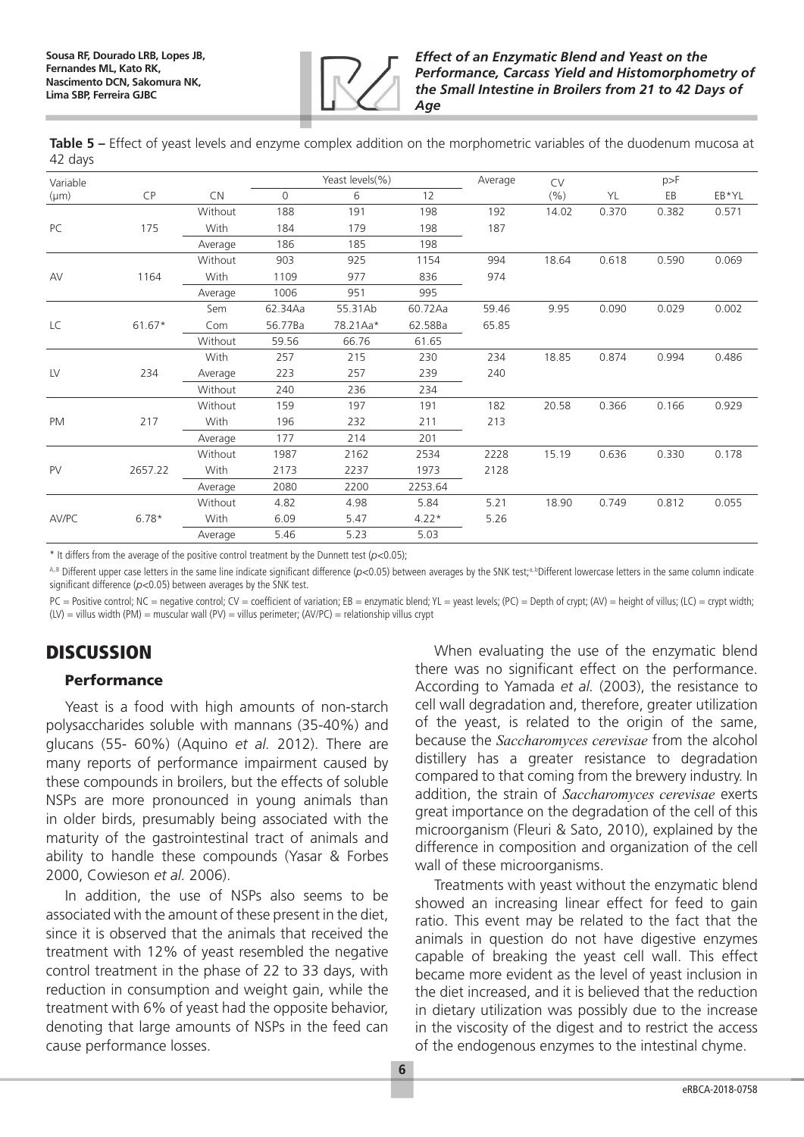

**Table 5 –** Effect of yeast levels and enzyme complex addition on the morphometric variables of the duodenum mucosa at 42 days

| Variable  |           |             |          | Yeast levels(%) |         | Average | <b>CV</b> |       | p>F   |       |
|-----------|-----------|-------------|----------|-----------------|---------|---------|-----------|-------|-------|-------|
| $(\mu m)$ | <b>CP</b> | <b>CN</b>   | $\Omega$ | 6               | 12      |         | (%)       | YL    | EB    | EB*YL |
|           |           | Without     | 188      | 191             | 198     | 192     | 14.02     | 0.370 | 0.382 | 0.571 |
| PC        | 175       | With        | 184      | 179             | 198     | 187     |           |       |       |       |
|           |           | Average     | 186      | 185             | 198     |         |           |       |       |       |
|           |           | Without     | 903      | 925             | 1154    | 994     | 18.64     | 0.618 | 0.590 | 0.069 |
| AV        | 1164      | <b>With</b> | 1109     | 977             | 836     | 974     |           |       |       |       |
|           |           | Average     | 1006     | 951             | 995     |         |           |       |       |       |
|           |           | Sem         | 62.34Aa  | 55.31Ab         | 60.72Aa | 59.46   | 9.95      | 0.090 | 0.029 | 0.002 |
| LC        | $61.67*$  | Com         | 56.77Ba  | 78.21Aa*        | 62.58Ba | 65.85   |           |       |       |       |
|           |           | Without     | 59.56    | 66.76           | 61.65   |         |           |       |       |       |
|           |           | With        | 257      | 215             | 230     | 234     | 18.85     | 0.874 | 0.994 | 0.486 |
| LV        | 234       | Average     | 223      | 257             | 239     | 240     |           |       |       |       |
|           |           | Without     | 240      | 236             | 234     |         |           |       |       |       |
|           |           | Without     | 159      | 197             | 191     | 182     | 20.58     | 0.366 | 0.166 | 0.929 |
| <b>PM</b> | 217       | With        | 196      | 232             | 211     | 213     |           |       |       |       |
|           |           | Average     | 177      | 214             | 201     |         |           |       |       |       |
|           |           | Without     | 1987     | 2162            | 2534    | 2228    | 15.19     | 0.636 | 0.330 | 0.178 |
| PV        | 2657.22   | <b>With</b> | 2173     | 2237            | 1973    | 2128    |           |       |       |       |
|           |           | Average     | 2080     | 2200            | 2253.64 |         |           |       |       |       |
|           |           | Without     | 4.82     | 4.98            | 5.84    | 5.21    | 18.90     | 0.749 | 0.812 | 0.055 |
| AV/PC     | $6.78*$   | With        | 6.09     | 5.47            | $4.22*$ | 5.26    |           |       |       |       |
|           |           | Average     | 5.46     | 5.23            | 5.03    |         |           |       |       |       |

\* It differs from the average of the positive control treatment by the Dunnett test (*p<*0.05);

A,B Different upper case letters in the same line indicate significant difference (*p*<0.05) between averages by the SNK test;<sup>a,b</sup>Different lowercase letters in the same column indicate significant difference (*p<*0.05) between averages by the SNK test.

 $PC =$  Positive control; NC = negative control; CV = coefficient of variation; EB = enzymatic blend; YL = yeast levels; (PC) = Depth of crypt; (AV) = height of villus; (LC) = crypt width;  $(LV)$  = villus width (PM) = muscular wall (PV) = villus perimeter; (AV/PC) = relationship villus crypt

# **DISCUSSION**

### Performance

Yeast is a food with high amounts of non-starch polysaccharides soluble with mannans (35-40%) and glucans (55- 60%) (Aquino *et al.* 2012). There are many reports of performance impairment caused by these compounds in broilers, but the effects of soluble NSPs are more pronounced in young animals than in older birds, presumably being associated with the maturity of the gastrointestinal tract of animals and ability to handle these compounds (Yasar & Forbes 2000, Cowieson *et al.* 2006).

In addition, the use of NSPs also seems to be associated with the amount of these present in the diet, since it is observed that the animals that received the treatment with 12% of yeast resembled the negative control treatment in the phase of 22 to 33 days, with reduction in consumption and weight gain, while the treatment with 6% of yeast had the opposite behavior, denoting that large amounts of NSPs in the feed can cause performance losses.

When evaluating the use of the enzymatic blend there was no significant effect on the performance. According to Yamada *et al.* (2003), the resistance to cell wall degradation and, therefore, greater utilization of the yeast, is related to the origin of the same, because the *Saccharomyces cerevisae* from the alcohol distillery has a greater resistance to degradation compared to that coming from the brewery industry. In addition, the strain of *Saccharomyces cerevisae* exerts great importance on the degradation of the cell of this microorganism (Fleuri & Sato, 2010), explained by the difference in composition and organization of the cell wall of these microorganisms.

Treatments with yeast without the enzymatic blend showed an increasing linear effect for feed to gain ratio. This event may be related to the fact that the animals in question do not have digestive enzymes capable of breaking the yeast cell wall. This effect became more evident as the level of yeast inclusion in the diet increased, and it is believed that the reduction in dietary utilization was possibly due to the increase in the viscosity of the digest and to restrict the access of the endogenous enzymes to the intestinal chyme.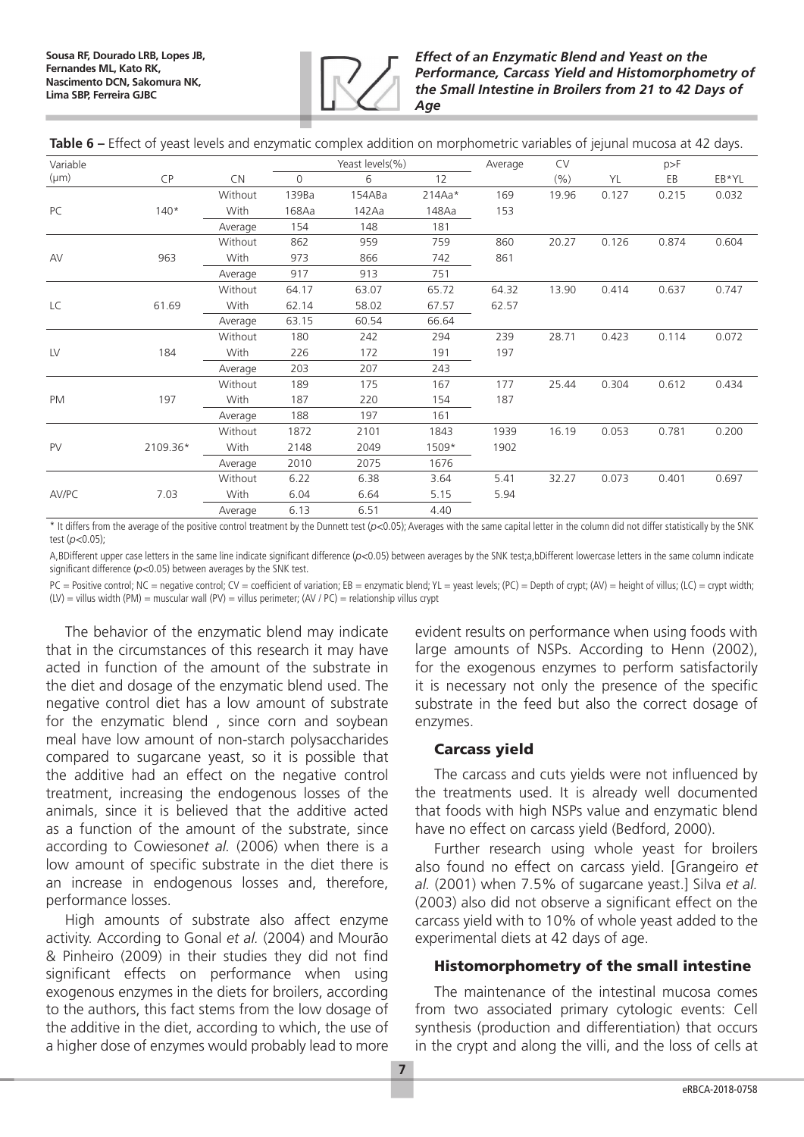

**Table 6 –** Effect of yeast levels and enzymatic complex addition on morphometric variables of jejunal mucosa at 42 days.

| Variable  |          |         | Yeast levels(%) |        |          | Average | <b>CV</b> | p>F   |       |       |
|-----------|----------|---------|-----------------|--------|----------|---------|-----------|-------|-------|-------|
| $(\mu m)$ | CP       | CN      | $\Omega$        | 6      | 12       |         | (%)       | YL    | EB    | EB*YL |
|           |          | Without | 139Ba           | 154ABa | $214Aa*$ | 169     | 19.96     | 0.127 | 0.215 | 0.032 |
| PC        | $140*$   | With    | 168Aa           | 142Aa  | 148Aa    | 153     |           |       |       |       |
|           |          | Average | 154             | 148    | 181      |         |           |       |       |       |
|           |          | Without | 862             | 959    | 759      | 860     | 20.27     | 0.126 | 0.874 | 0.604 |
| AV        | 963      | With    | 973             | 866    | 742      | 861     |           |       |       |       |
|           |          | Average | 917             | 913    | 751      |         |           |       |       |       |
|           |          | Without | 64.17           | 63.07  | 65.72    | 64.32   | 13.90     | 0.414 | 0.637 | 0.747 |
| LC        | 61.69    | With    | 62.14           | 58.02  | 67.57    | 62.57   |           |       |       |       |
|           |          | Average | 63.15           | 60.54  | 66.64    |         |           |       |       |       |
|           |          | Without | 180             | 242    | 294      | 239     | 28.71     | 0.423 | 0.114 | 0.072 |
| LV        | 184      | With    | 226             | 172    | 191      | 197     |           |       |       |       |
|           |          | Average | 203             | 207    | 243      |         |           |       |       |       |
|           |          | Without | 189             | 175    | 167      | 177     | 25.44     | 0.304 | 0.612 | 0.434 |
| <b>PM</b> | 197      | With    | 187             | 220    | 154      | 187     |           |       |       |       |
|           |          | Average | 188             | 197    | 161      |         |           |       |       |       |
|           |          | Without | 1872            | 2101   | 1843     | 1939    | 16.19     | 0.053 | 0.781 | 0.200 |
| <b>PV</b> | 2109.36* | With    | 2148            | 2049   | 1509*    | 1902    |           |       |       |       |
|           |          | Average | 2010            | 2075   | 1676     |         |           |       |       |       |
|           |          | Without | 6.22            | 6.38   | 3.64     | 5.41    | 32.27     | 0.073 | 0.401 | 0.697 |
| AV/PC     | 7.03     | With    | 6.04            | 6.64   | 5.15     | 5.94    |           |       |       |       |
|           |          | Average | 6.13            | 6.51   | 4.40     |         |           |       |       |       |

\* It differs from the average of the positive control treatment by the Dunnett test (*p<*0.05); Averages with the same capital letter in the column did not differ statistically by the SNK test (*p<*0.05);

A,BDifferent upper case letters in the same line indicate significant difference (*p<*0.05) between averages by the SNK test;a,bDifferent lowercase letters in the same column indicate significant difference (*p<*0.05) between averages by the SNK test.

PC = Positive control; NC = negative control; CV = coefficient of variation; EB = enzymatic blend; YL = yeast levels; (PC) = Depth of crypt; (AV) = height of villus; (LC) = crypt width;  $(LV) =$  villus width (PM) = muscular wall (PV) = villus perimeter; (AV / PC) = relationship villus crypt

The behavior of the enzymatic blend may indicate that in the circumstances of this research it may have acted in function of the amount of the substrate in the diet and dosage of the enzymatic blend used. The negative control diet has a low amount of substrate for the enzymatic blend , since corn and soybean meal have low amount of non-starch polysaccharides compared to sugarcane yeast, so it is possible that the additive had an effect on the negative control treatment, increasing the endogenous losses of the animals, since it is believed that the additive acted as a function of the amount of the substrate, since according to Cowieson*et al.* (2006) when there is a low amount of specific substrate in the diet there is an increase in endogenous losses and, therefore, performance losses.

High amounts of substrate also affect enzyme activity. According to Gonal *et al.* (2004) and Mourão & Pinheiro (2009) in their studies they did not find significant effects on performance when using exogenous enzymes in the diets for broilers, according to the authors, this fact stems from the low dosage of the additive in the diet, according to which, the use of a higher dose of enzymes would probably lead to more

evident results on performance when using foods with large amounts of NSPs. According to Henn (2002), for the exogenous enzymes to perform satisfactorily it is necessary not only the presence of the specific substrate in the feed but also the correct dosage of enzymes.

### Carcass yield

The carcass and cuts yields were not influenced by the treatments used. It is already well documented that foods with high NSPs value and enzymatic blend have no effect on carcass yield (Bedford, 2000).

Further research using whole yeast for broilers also found no effect on carcass yield. [Grangeiro *et al.* (2001) when 7.5% of sugarcane yeast.] Silva *et al.* (2003) also did not observe a significant effect on the carcass yield with to 10% of whole yeast added to the experimental diets at 42 days of age.

# Histomorphometry of the small intestine

The maintenance of the intestinal mucosa comes from two associated primary cytologic events: Cell synthesis (production and differentiation) that occurs in the crypt and along the villi, and the loss of cells at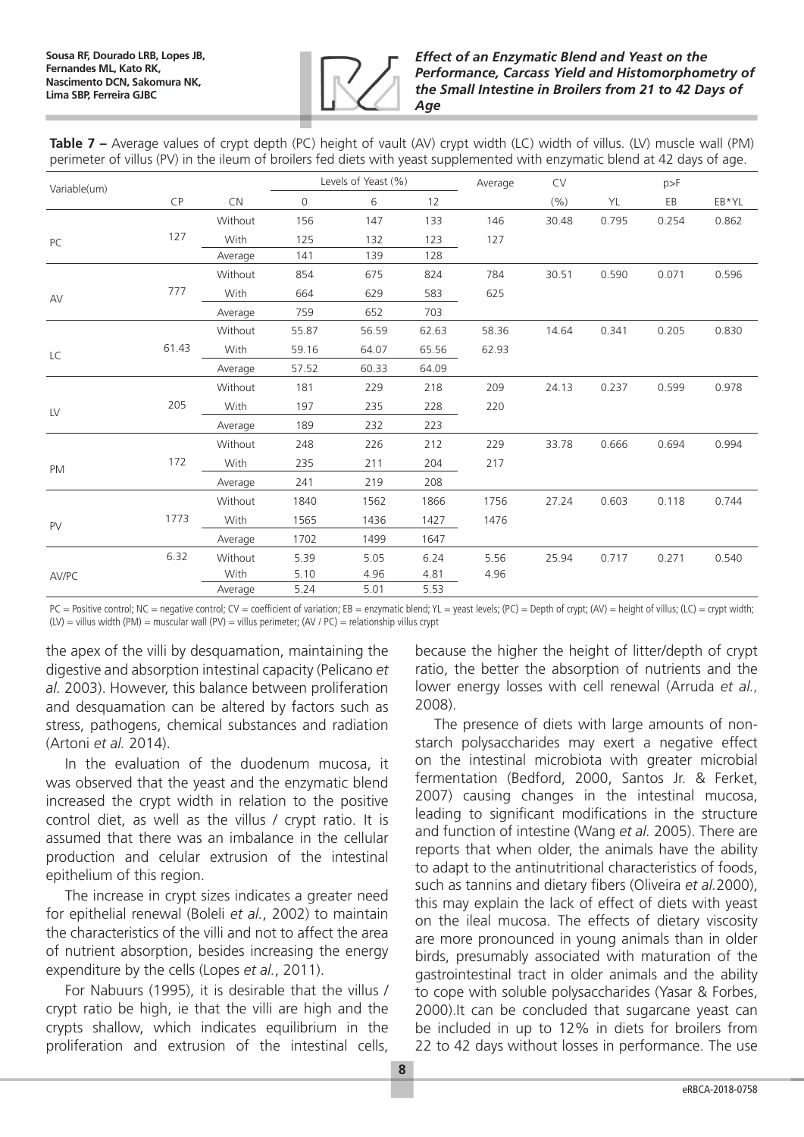

**Table 7 –** Average values of crypt depth (PC) height of vault (AV) crypt width (LC) width of villus. (LV) muscle wall (PM) perimeter of villus (PV) in the ileum of broilers fed diets with yeast supplemented with enzymatic blend at 42 days of age.

| Variable(um) |       |           | Levels of Yeast (%) |       | Average | <b>CV</b> | p>F   |       |       |       |
|--------------|-------|-----------|---------------------|-------|---------|-----------|-------|-------|-------|-------|
|              | CP    | <b>CN</b> | $\mathbf 0$         | 6     | 12      |           | (% )  | YL    | EB    | EB*YL |
|              |       | Without   | 156                 | 147   | 133     | 146       | 30.48 | 0.795 | 0.254 | 0.862 |
| PC           | 127   | With      | 125                 | 132   | 123     | 127       |       |       |       |       |
|              |       | Average   | 141                 | 139   | 128     |           |       |       |       |       |
|              |       | Without   | 854                 | 675   | 824     | 784       | 30.51 | 0.590 | 0.071 | 0.596 |
| AV           | 777   | With      | 664                 | 629   | 583     | 625       |       |       |       |       |
|              |       | Average   | 759                 | 652   | 703     |           |       |       |       |       |
|              |       | Without   | 55.87               | 56.59 | 62.63   | 58.36     | 14.64 | 0.341 | 0.205 | 0.830 |
| LC           | 61.43 | With      | 59.16               | 64.07 | 65.56   | 62.93     |       |       |       |       |
|              |       | Average   | 57.52               | 60.33 | 64.09   |           |       |       |       |       |
|              |       | Without   | 181                 | 229   | 218     | 209       | 24.13 | 0.237 | 0.599 | 0.978 |
| LV           | 205   | With      | 197                 | 235   | 228     | 220       |       |       |       |       |
|              |       | Average   | 189                 | 232   | 223     |           |       |       |       |       |
|              |       | Without   | 248                 | 226   | 212     | 229       | 33.78 | 0.666 | 0.694 | 0.994 |
| <b>PM</b>    | 172   | With      | 235                 | 211   | 204     | 217       |       |       |       |       |
|              |       | Average   | 241                 | 219   | 208     |           |       |       |       |       |
|              |       | Without   | 1840                | 1562  | 1866    | 1756      | 27.24 | 0.603 | 0.118 | 0.744 |
| <b>PV</b>    | 1773  | With      | 1565                | 1436  | 1427    | 1476      |       |       |       |       |
|              |       | Average   | 1702                | 1499  | 1647    |           |       |       |       |       |
|              | 6.32  | Without   | 5.39                | 5.05  | 6.24    | 5.56      | 25.94 | 0.717 | 0.271 | 0.540 |
| AV/PC        |       | With      | 5.10                | 4.96  | 4.81    | 4.96      |       |       |       |       |
|              |       | Average   | 5.24                | 5.01  | 5.53    |           |       |       |       |       |

 $PC =$  Positive control; NC = negative control; CV = coefficient of variation; EB = enzymatic blend; YL = yeast levels; (PC) = Depth of crypt; (AV) = height of villus; (LC) = crypt width;  $(LV)$  = villus width (PM) = muscular wall (PV) = villus perimeter; (AV / PC) = relationship villus crypt

the apex of the villi by desquamation, maintaining the digestive and absorption intestinal capacity (Pelicano *et al.* 2003). However, this balance between proliferation and desquamation can be altered by factors such as stress, pathogens, chemical substances and radiation (Artoni *et al.* 2014).

In the evaluation of the duodenum mucosa, it was observed that the yeast and the enzymatic blend increased the crypt width in relation to the positive control diet, as well as the villus / crypt ratio. It is assumed that there was an imbalance in the cellular production and celular extrusion of the intestinal epithelium of this region.

The increase in crypt sizes indicates a greater need for epithelial renewal (Boleli *et al.*, 2002) to maintain the characteristics of the villi and not to affect the area of nutrient absorption, besides increasing the energy expenditure by the cells (Lopes *et al.*, 2011).

For Nabuurs (1995), it is desirable that the villus / crypt ratio be high, ie that the villi are high and the crypts shallow, which indicates equilibrium in the proliferation and extrusion of the intestinal cells,

because the higher the height of litter/depth of crypt ratio, the better the absorption of nutrients and the lower energy losses with cell renewal (Arruda *et al.,* 2008).

The presence of diets with large amounts of nonstarch polysaccharides may exert a negative effect on the intestinal microbiota with greater microbial fermentation (Bedford, 2000, Santos Jr. & Ferket, 2007) causing changes in the intestinal mucosa, leading to significant modifications in the structure and function of intestine (Wang *et al.* 2005). There are reports that when older, the animals have the ability to adapt to the antinutritional characteristics of foods, such as tannins and dietary fibers (Oliveira *et al.*2000), this may explain the lack of effect of diets with yeast on the ileal mucosa. The effects of dietary viscosity are more pronounced in young animals than in older birds, presumably associated with maturation of the gastrointestinal tract in older animals and the ability to cope with soluble polysaccharides (Yasar & Forbes, 2000).It can be concluded that sugarcane yeast can be included in up to 12% in diets for broilers from 22 to 42 days without losses in performance. The use